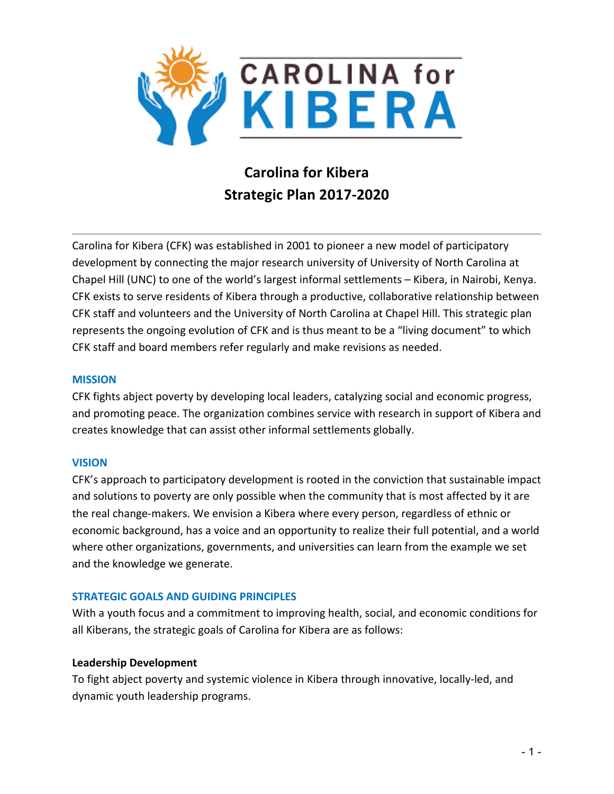

# **Carolina for Kibera Strategic Plan 2017-2020**

Carolina for Kibera (CFK) was established in 2001 to pioneer a new model of participatory development by connecting the major research university of University of North Carolina at Chapel Hill (UNC) to one of the world's largest informal settlements – Kibera, in Nairobi, Kenya. CFK exists to serve residents of Kibera through a productive, collaborative relationship between CFK staff and volunteers and the University of North Carolina at Chapel Hill. This strategic plan represents the ongoing evolution of CFK and is thus meant to be a "living document" to which CFK staff and board members refer regularly and make revisions as needed.

#### **MISSION**

CFK fights abject poverty by developing local leaders, catalyzing social and economic progress, and promoting peace. The organization combines service with research in support of Kibera and creates knowledge that can assist other informal settlements globally.

#### **VISION**

CFK's approach to participatory development is rooted in the conviction that sustainable impact and solutions to poverty are only possible when the community that is most affected by it are the real change-makers. We envision a Kibera where every person, regardless of ethnic or economic background, has a voice and an opportunity to realize their full potential, and a world where other organizations, governments, and universities can learn from the example we set and the knowledge we generate.

#### **STRATEGIC GOALS AND GUIDING PRINCIPLES**

With a youth focus and a commitment to improving health, social, and economic conditions for all Kiberans, the strategic goals of Carolina for Kibera are as follows:

#### **Leadership Development**

To fight abject poverty and systemic violence in Kibera through innovative, locally-led, and dynamic youth leadership programs.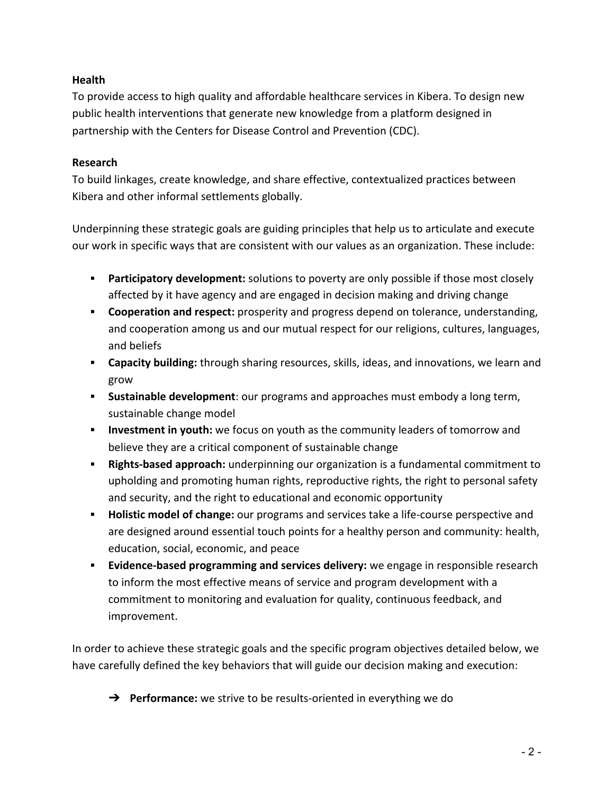# **Health**

To provide access to high quality and affordable healthcare services in Kibera. To design new public health interventions that generate new knowledge from a platform designed in partnership with the Centers for Disease Control and Prevention (CDC).

# **Research**

To build linkages, create knowledge, and share effective, contextualized practices between Kibera and other informal settlements globally.

Underpinning these strategic goals are guiding principles that help us to articulate and execute our work in specific ways that are consistent with our values as an organization. These include:

- **Participatory development:** solutions to poverty are only possible if those most closely affected by it have agency and are engaged in decision making and driving change
- **Cooperation and respect:** prosperity and progress depend on tolerance, understanding, and cooperation among us and our mutual respect for our religions, cultures, languages, and beliefs
- **Exapacity building:** through sharing resources, skills, ideas, and innovations, we learn and grow
- **Sustainable development**: our programs and approaches must embody a long term, sustainable change model
- **Investment in youth:** we focus on youth as the community leaders of tomorrow and believe they are a critical component of sustainable change
- **Rights-based approach:** underpinning our organization is a fundamental commitment to upholding and promoting human rights, reproductive rights, the right to personal safety and security, and the right to educational and economic opportunity
- **EXED** Holistic model of change: our programs and services take a life-course perspective and are designed around essential touch points for a healthy person and community: health, education, social, economic, and peace
- **Evidence-based programming and services delivery:** we engage in responsible research to inform the most effective means of service and program development with a commitment to monitoring and evaluation for quality, continuous feedback, and improvement.

In order to achieve these strategic goals and the specific program objectives detailed below, we have carefully defined the key behaviors that will guide our decision making and execution:

**→** Performance: we strive to be results-oriented in everything we do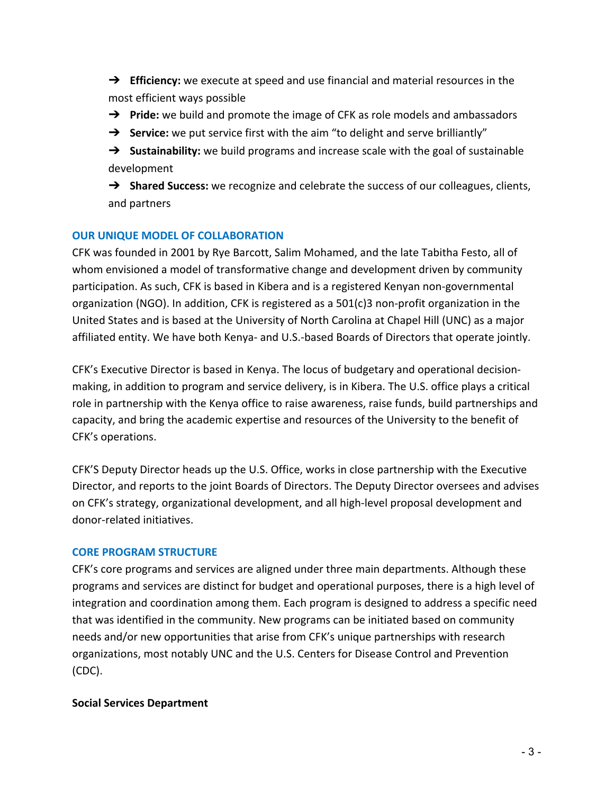- → **Efficiency:** we execute at speed and use financial and material resources in the most efficient ways possible
- → **Pride:** we build and promote the image of CFK as role models and ambassadors
- → **Service:** we put service first with the aim "to delight and serve brilliantly"
- → **Sustainability:** we build programs and increase scale with the goal of sustainable development
- → **Shared Success:** we recognize and celebrate the success of our colleagues, clients, and partners

## **OUR UNIQUE MODEL OF COLLABORATION**

CFK was founded in 2001 by Rye Barcott, Salim Mohamed, and the late Tabitha Festo, all of whom envisioned a model of transformative change and development driven by community participation. As such, CFK is based in Kibera and is a registered Kenyan non-governmental organization (NGO). In addition, CFK is registered as a  $501(c)3$  non-profit organization in the United States and is based at the University of North Carolina at Chapel Hill (UNC) as a major affiliated entity. We have both Kenya- and U.S.-based Boards of Directors that operate jointly.

CFK's Executive Director is based in Kenya. The locus of budgetary and operational decisionmaking, in addition to program and service delivery, is in Kibera. The U.S. office plays a critical role in partnership with the Kenya office to raise awareness, raise funds, build partnerships and capacity, and bring the academic expertise and resources of the University to the benefit of CFK's operations.

CFK'S Deputy Director heads up the U.S. Office, works in close partnership with the Executive Director, and reports to the joint Boards of Directors. The Deputy Director oversees and advises on CFK's strategy, organizational development, and all high-level proposal development and donor-related initiatives.

#### **CORE PROGRAM STRUCTURE**

CFK's core programs and services are aligned under three main departments. Although these programs and services are distinct for budget and operational purposes, there is a high level of integration and coordination among them. Each program is designed to address a specific need that was identified in the community. New programs can be initiated based on community needs and/or new opportunities that arise from CFK's unique partnerships with research organizations, most notably UNC and the U.S. Centers for Disease Control and Prevention (CDC).

#### **Social Services Department**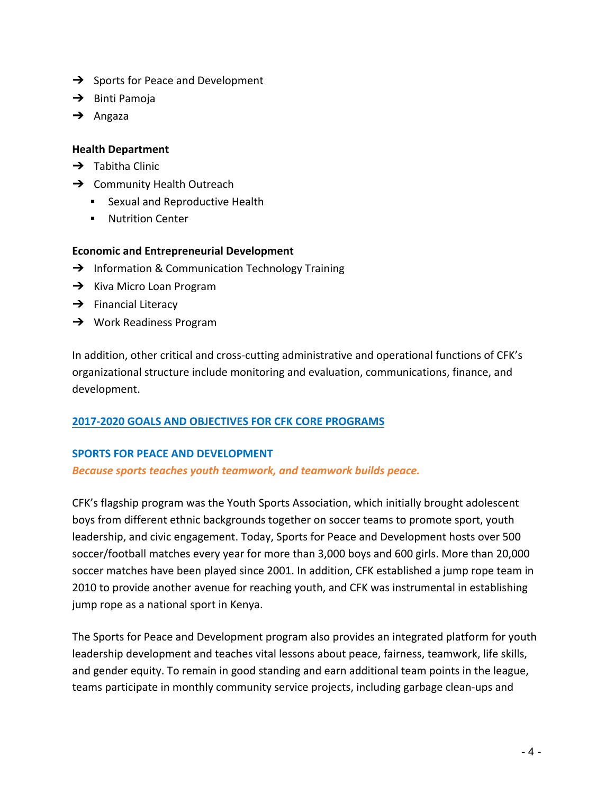- $\rightarrow$  Sports for Peace and Development
- $\rightarrow$  Binti Pamoja
- $\rightarrow$  Angaza

# **Health Department**

- $\rightarrow$  Tabitha Clinic
- $\rightarrow$  Community Health Outreach
	- **•** Sexual and Reproductive Health
	- **■** Nutrition Center

# **Economic and Entrepreneurial Development**

- $\rightarrow$  Information & Communication Technology Training
- $\rightarrow$  Kiva Micro Loan Program
- $\rightarrow$  Financial Literacy
- $\rightarrow$  Work Readiness Program

In addition, other critical and cross-cutting administrative and operational functions of CFK's organizational structure include monitoring and evaluation, communications, finance, and development.

# **2017-2020 GOALS AND OBJECTIVES FOR CFK CORE PROGRAMS**

# **SPORTS FOR PEACE AND DEVELOPMENT**

# **Because sports teaches youth teamwork, and teamwork builds peace.**

CFK's flagship program was the Youth Sports Association, which initially brought adolescent boys from different ethnic backgrounds together on soccer teams to promote sport, youth leadership, and civic engagement. Today, Sports for Peace and Development hosts over 500 soccer/football matches every year for more than 3,000 boys and 600 girls. More than 20,000 soccer matches have been played since 2001. In addition, CFK established a jump rope team in 2010 to provide another avenue for reaching youth, and CFK was instrumental in establishing jump rope as a national sport in Kenya.

The Sports for Peace and Development program also provides an integrated platform for youth leadership development and teaches vital lessons about peace, fairness, teamwork, life skills, and gender equity. To remain in good standing and earn additional team points in the league, teams participate in monthly community service projects, including garbage clean-ups and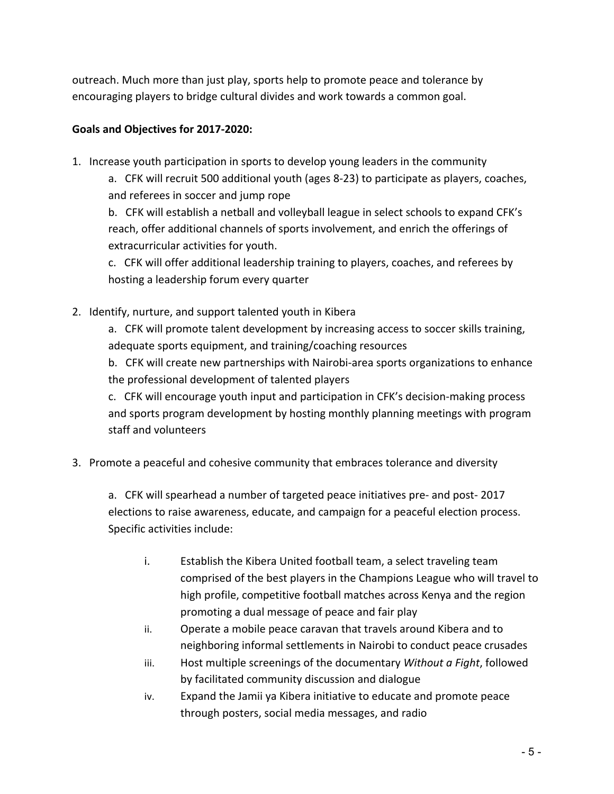outreach. Much more than just play, sports help to promote peace and tolerance by encouraging players to bridge cultural divides and work towards a common goal.

# Goals and Objectives for 2017-2020:

1. Increase youth participation in sports to develop young leaders in the community

a. CFK will recruit 500 additional youth (ages 8-23) to participate as players, coaches, and referees in soccer and jump rope

b. CFK will establish a netball and volleyball league in select schools to expand CFK's reach, offer additional channels of sports involvement, and enrich the offerings of extracurricular activities for youth.

c. CFK will offer additional leadership training to players, coaches, and referees by hosting a leadership forum every quarter

2. Identify, nurture, and support talented youth in Kibera

a. CFK will promote talent development by increasing access to soccer skills training, adequate sports equipment, and training/coaching resources

b. CFK will create new partnerships with Nairobi-area sports organizations to enhance the professional development of talented players

c. CFK will encourage youth input and participation in CFK's decision-making process and sports program development by hosting monthly planning meetings with program staff and volunteers

# 3. Promote a peaceful and cohesive community that embraces tolerance and diversity

a. CFK will spearhead a number of targeted peace initiatives pre- and post- 2017 elections to raise awareness, educate, and campaign for a peaceful election process. Specific activities include:

- i. Establish the Kibera United football team, a select traveling team comprised of the best players in the Champions League who will travel to high profile, competitive football matches across Kenya and the region promoting a dual message of peace and fair play
- ii. Operate a mobile peace caravan that travels around Kibera and to neighboring informal settlements in Nairobi to conduct peace crusades
- iii. Host multiple screenings of the documentary *Without a Fight*, followed by facilitated community discussion and dialogue
- iv. Expand the Jamii ya Kibera initiative to educate and promote peace through posters, social media messages, and radio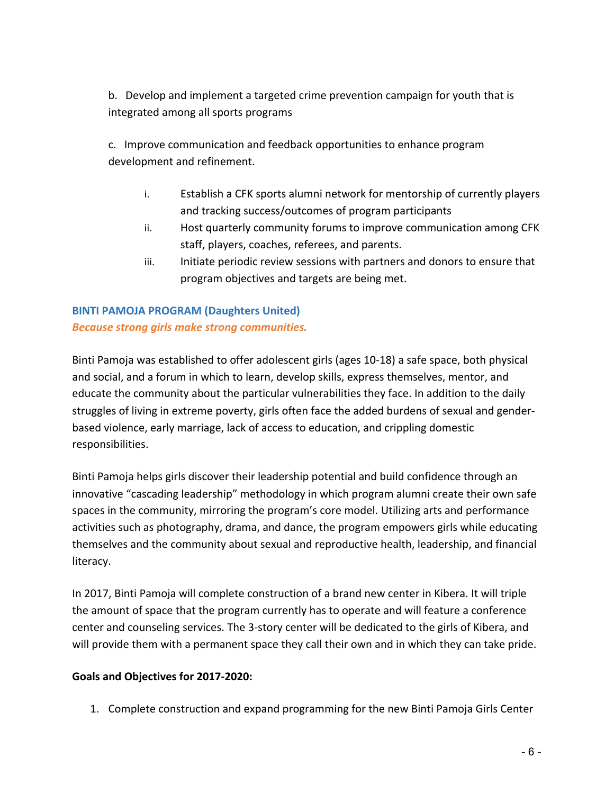b. Develop and implement a targeted crime prevention campaign for youth that is integrated among all sports programs

c. Improve communication and feedback opportunities to enhance program development and refinement.

- i. Establish a CFK sports alumni network for mentorship of currently players and tracking success/outcomes of program participants
- ii. Host quarterly community forums to improve communication among CFK staff, players, coaches, referees, and parents.
- iii. Initiate periodic review sessions with partners and donors to ensure that program objectives and targets are being met.

# **BINTI PAMOJA PROGRAM (Daughters United)** *Because strong girls make strong communities.*

Binti Pamoja was established to offer adolescent girls (ages 10-18) a safe space, both physical and social, and a forum in which to learn, develop skills, express themselves, mentor, and educate the community about the particular vulnerabilities they face. In addition to the daily struggles of living in extreme poverty, girls often face the added burdens of sexual and genderbased violence, early marriage, lack of access to education, and crippling domestic responsibilities.

Binti Pamoja helps girls discover their leadership potential and build confidence through an innovative "cascading leadership" methodology in which program alumni create their own safe spaces in the community, mirroring the program's core model. Utilizing arts and performance activities such as photography, drama, and dance, the program empowers girls while educating themselves and the community about sexual and reproductive health, leadership, and financial literacy.

In 2017, Binti Pamoja will complete construction of a brand new center in Kibera. It will triple the amount of space that the program currently has to operate and will feature a conference center and counseling services. The 3-story center will be dedicated to the girls of Kibera, and will provide them with a permanent space they call their own and in which they can take pride.

# Goals and Objectives for 2017-2020:

1. Complete construction and expand programming for the new Binti Pamoja Girls Center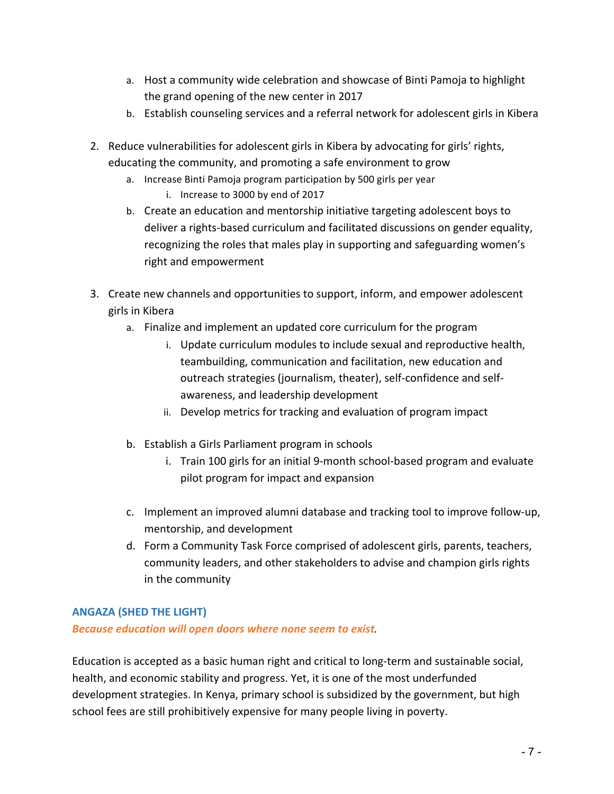- a. Host a community wide celebration and showcase of Binti Pamoja to highlight the grand opening of the new center in 2017
- b. Establish counseling services and a referral network for adolescent girls in Kibera
- 2. Reduce vulnerabilities for adolescent girls in Kibera by advocating for girls' rights, educating the community, and promoting a safe environment to grow
	- a. Increase Binti Pamoja program participation by 500 girls per year
		- i. Increase to 3000 by end of 2017
	- b. Create an education and mentorship initiative targeting adolescent boys to deliver a rights-based curriculum and facilitated discussions on gender equality, recognizing the roles that males play in supporting and safeguarding women's right and empowerment
- 3. Create new channels and opportunities to support, inform, and empower adolescent girls in Kibera
	- a. Finalize and implement an updated core curriculum for the program
		- i. Update curriculum modules to include sexual and reproductive health, teambuilding, communication and facilitation, new education and outreach strategies (journalism, theater), self-confidence and selfawareness, and leadership development
		- ii. Develop metrics for tracking and evaluation of program impact
	- b. Establish a Girls Parliament program in schools
		- i. Train 100 girls for an initial 9-month school-based program and evaluate pilot program for impact and expansion
	- c. Implement an improved alumni database and tracking tool to improve follow-up, mentorship, and development
	- d. Form a Community Task Force comprised of adolescent girls, parents, teachers, community leaders, and other stakeholders to advise and champion girls rights in the community

# **ANGAZA (SHED THE LIGHT)**

**Because education will open doors where none seem to exist.** 

Education is accepted as a basic human right and critical to long-term and sustainable social, health, and economic stability and progress. Yet, it is one of the most underfunded development strategies. In Kenya, primary school is subsidized by the government, but high school fees are still prohibitively expensive for many people living in poverty.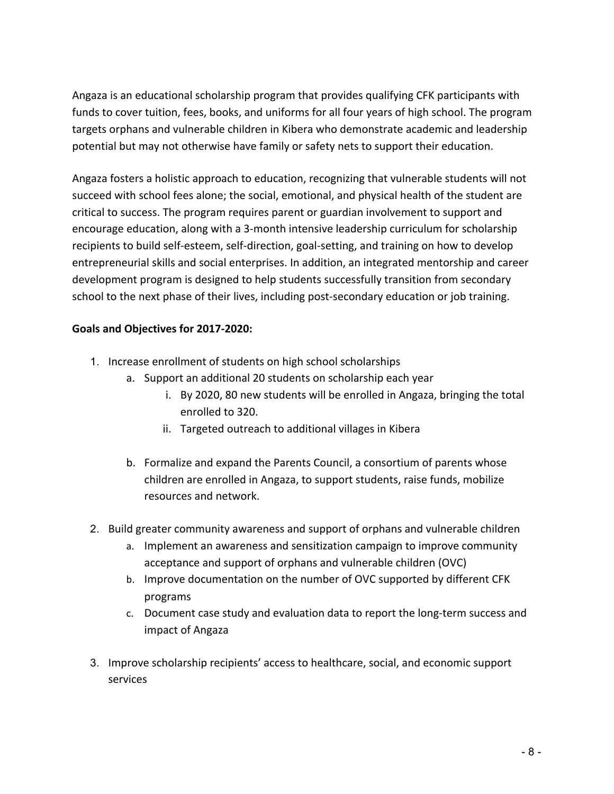Angaza is an educational scholarship program that provides qualifying CFK participants with funds to cover tuition, fees, books, and uniforms for all four years of high school. The program targets orphans and vulnerable children in Kibera who demonstrate academic and leadership potential but may not otherwise have family or safety nets to support their education.

Angaza fosters a holistic approach to education, recognizing that vulnerable students will not succeed with school fees alone; the social, emotional, and physical health of the student are critical to success. The program requires parent or guardian involvement to support and encourage education, along with a 3-month intensive leadership curriculum for scholarship recipients to build self-esteem, self-direction, goal-setting, and training on how to develop entrepreneurial skills and social enterprises. In addition, an integrated mentorship and career development program is designed to help students successfully transition from secondary school to the next phase of their lives, including post-secondary education or job training.

- 1. Increase enrollment of students on high school scholarships
	- a. Support an additional 20 students on scholarship each year
		- i. By 2020, 80 new students will be enrolled in Angaza, bringing the total enrolled to 320.
		- ii. Targeted outreach to additional villages in Kibera
	- b. Formalize and expand the Parents Council, a consortium of parents whose children are enrolled in Angaza, to support students, raise funds, mobilize resources and network.
- 2. Build greater community awareness and support of orphans and vulnerable children
	- a. Implement an awareness and sensitization campaign to improve community acceptance and support of orphans and vulnerable children (OVC)
	- b. Improve documentation on the number of OVC supported by different CFK programs
	- c. Document case study and evaluation data to report the long-term success and impact of Angaza
- 3. Improve scholarship recipients' access to healthcare, social, and economic support services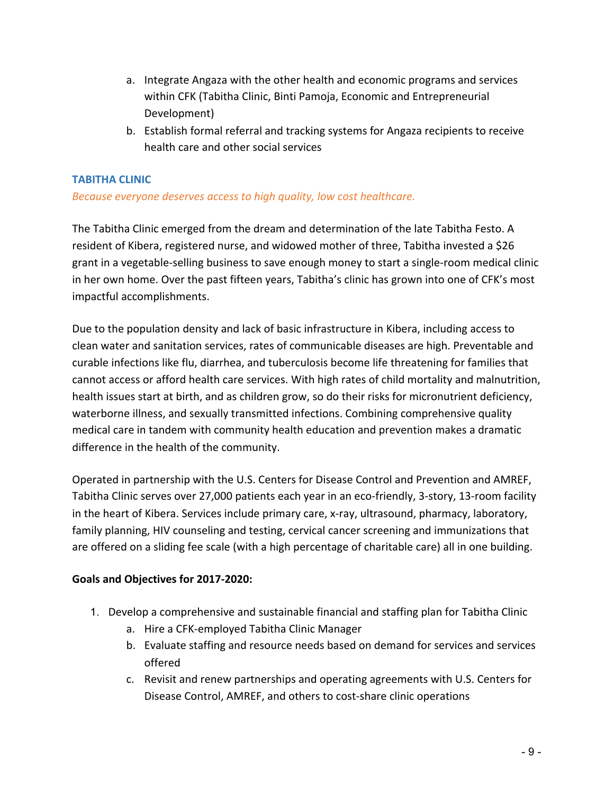- a. Integrate Angaza with the other health and economic programs and services within CFK (Tabitha Clinic, Binti Pamoja, Economic and Entrepreneurial Development)
- b. Establish formal referral and tracking systems for Angaza recipients to receive health care and other social services

# **TABITHA CLINIC**

# *Because everyone deserves access to high quality, low cost healthcare.*

The Tabitha Clinic emerged from the dream and determination of the late Tabitha Festo. A resident of Kibera, registered nurse, and widowed mother of three, Tabitha invested a \$26 grant in a vegetable-selling business to save enough money to start a single-room medical clinic in her own home. Over the past fifteen years, Tabitha's clinic has grown into one of CFK's most impactful accomplishments.

Due to the population density and lack of basic infrastructure in Kibera, including access to clean water and sanitation services, rates of communicable diseases are high. Preventable and curable infections like flu, diarrhea, and tuberculosis become life threatening for families that cannot access or afford health care services. With high rates of child mortality and malnutrition, health issues start at birth, and as children grow, so do their risks for micronutrient deficiency, waterborne illness, and sexually transmitted infections. Combining comprehensive quality medical care in tandem with community health education and prevention makes a dramatic difference in the health of the community.

Operated in partnership with the U.S. Centers for Disease Control and Prevention and AMREF, Tabitha Clinic serves over 27,000 patients each year in an eco-friendly, 3-story, 13-room facility in the heart of Kibera. Services include primary care, x-ray, ultrasound, pharmacy, laboratory, family planning, HIV counseling and testing, cervical cancer screening and immunizations that are offered on a sliding fee scale (with a high percentage of charitable care) all in one building.

- 1. Develop a comprehensive and sustainable financial and staffing plan for Tabitha Clinic
	- a. Hire a CFK-employed Tabitha Clinic Manager
	- b. Evaluate staffing and resource needs based on demand for services and services offered
	- c. Revisit and renew partnerships and operating agreements with U.S. Centers for Disease Control, AMREF, and others to cost-share clinic operations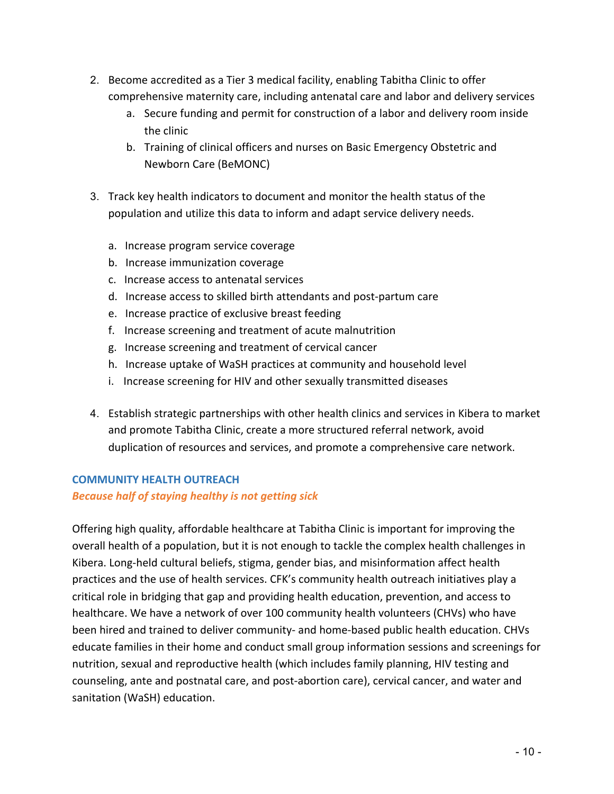- 2. Become accredited as a Tier 3 medical facility, enabling Tabitha Clinic to offer comprehensive maternity care, including antenatal care and labor and delivery services
	- a. Secure funding and permit for construction of a labor and delivery room inside the clinic
	- b. Training of clinical officers and nurses on Basic Emergency Obstetric and Newborn Care (BeMONC)
- 3. Track key health indicators to document and monitor the health status of the population and utilize this data to inform and adapt service delivery needs.
	- a. Increase program service coverage
	- b. Increase immunization coverage
	- c. Increase access to antenatal services
	- d. Increase access to skilled birth attendants and post-partum care
	- e. Increase practice of exclusive breast feeding
	- f. Increase screening and treatment of acute malnutrition
	- g. Increase screening and treatment of cervical cancer
	- h. Increase uptake of WaSH practices at community and household level
	- i. Increase screening for HIV and other sexually transmitted diseases
- 4. Establish strategic partnerships with other health clinics and services in Kibera to market and promote Tabitha Clinic, create a more structured referral network, avoid duplication of resources and services, and promote a comprehensive care network.

# **COMMUNITY HEALTH OUTREACH**

#### **Because half of staying healthy is not getting sick**

Offering high quality, affordable healthcare at Tabitha Clinic is important for improving the overall health of a population, but it is not enough to tackle the complex health challenges in Kibera. Long-held cultural beliefs, stigma, gender bias, and misinformation affect health practices and the use of health services. CFK's community health outreach initiatives play a critical role in bridging that gap and providing health education, prevention, and access to healthcare. We have a network of over 100 community health volunteers (CHVs) who have been hired and trained to deliver community- and home-based public health education. CHVs educate families in their home and conduct small group information sessions and screenings for nutrition, sexual and reproductive health (which includes family planning, HIV testing and counseling, ante and postnatal care, and post-abortion care), cervical cancer, and water and sanitation (WaSH) education.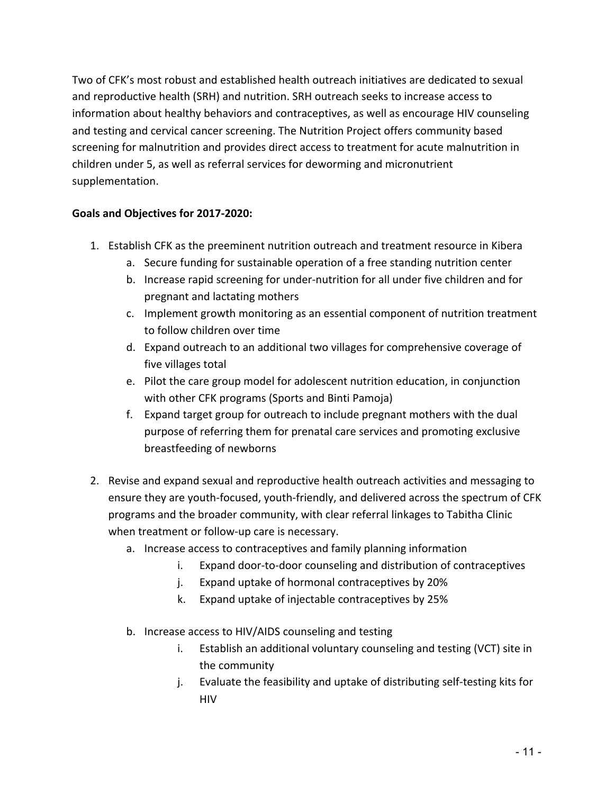Two of CFK's most robust and established health outreach initiatives are dedicated to sexual and reproductive health (SRH) and nutrition. SRH outreach seeks to increase access to information about healthy behaviors and contraceptives, as well as encourage HIV counseling and testing and cervical cancer screening. The Nutrition Project offers community based screening for malnutrition and provides direct access to treatment for acute malnutrition in children under 5, as well as referral services for deworming and micronutrient supplementation.

- 1. Establish CFK as the preeminent nutrition outreach and treatment resource in Kibera
	- a. Secure funding for sustainable operation of a free standing nutrition center
	- b. Increase rapid screening for under-nutrition for all under five children and for pregnant and lactating mothers
	- c. Implement growth monitoring as an essential component of nutrition treatment to follow children over time
	- d. Expand outreach to an additional two villages for comprehensive coverage of five villages total
	- e. Pilot the care group model for adolescent nutrition education, in conjunction with other CFK programs (Sports and Binti Pamoja)
	- f. Expand target group for outreach to include pregnant mothers with the dual purpose of referring them for prenatal care services and promoting exclusive breastfeeding of newborns
- 2. Revise and expand sexual and reproductive health outreach activities and messaging to ensure they are youth-focused, youth-friendly, and delivered across the spectrum of CFK programs and the broader community, with clear referral linkages to Tabitha Clinic when treatment or follow-up care is necessary.
	- a. Increase access to contraceptives and family planning information
		- i. Expand door-to-door counseling and distribution of contraceptives
		- j. Expand uptake of hormonal contraceptives by 20%
		- k. Expand uptake of injectable contraceptives by 25%
	- b. Increase access to HIV/AIDS counseling and testing
		- i. Establish an additional voluntary counseling and testing (VCT) site in the community
		- j. Evaluate the feasibility and uptake of distributing self-testing kits for HIV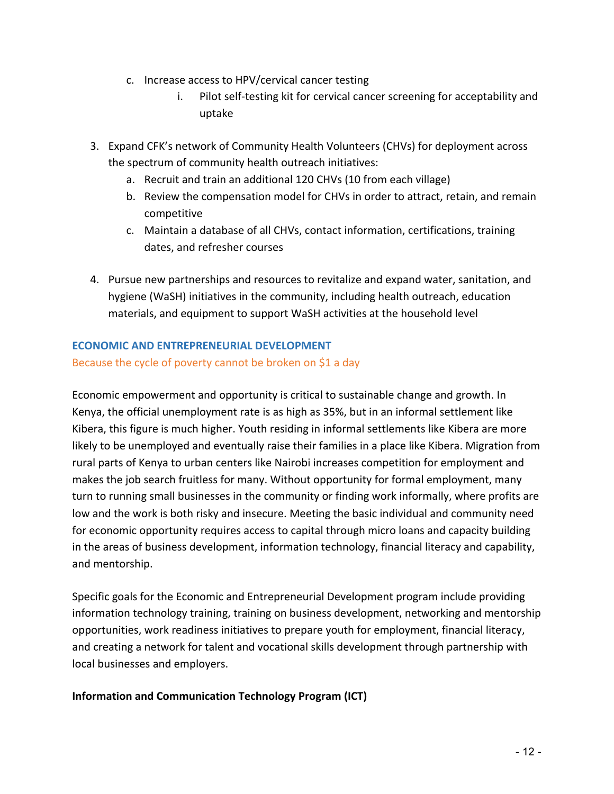- c. Increase access to HPV/cervical cancer testing
	- i. Pilot self-testing kit for cervical cancer screening for acceptability and uptake
- 3. Expand CFK's network of Community Health Volunteers (CHVs) for deployment across the spectrum of community health outreach initiatives:
	- a. Recruit and train an additional 120 CHVs (10 from each village)
	- b. Review the compensation model for CHVs in order to attract, retain, and remain competitive
	- c. Maintain a database of all CHVs, contact information, certifications, training dates, and refresher courses
- 4. Pursue new partnerships and resources to revitalize and expand water, sanitation, and hygiene (WaSH) initiatives in the community, including health outreach, education materials, and equipment to support WaSH activities at the household level

## **ECONOMIC AND ENTREPRENEURIAL DEVELOPMENT**

#### Because the cycle of poverty cannot be broken on  $$1$  a day

Economic empowerment and opportunity is critical to sustainable change and growth. In Kenya, the official unemployment rate is as high as 35%, but in an informal settlement like Kibera, this figure is much higher. Youth residing in informal settlements like Kibera are more likely to be unemployed and eventually raise their families in a place like Kibera. Migration from rural parts of Kenya to urban centers like Nairobi increases competition for employment and makes the job search fruitless for many. Without opportunity for formal employment, many turn to running small businesses in the community or finding work informally, where profits are low and the work is both risky and insecure. Meeting the basic individual and community need for economic opportunity requires access to capital through micro loans and capacity building in the areas of business development, information technology, financial literacy and capability, and mentorship.

Specific goals for the Economic and Entrepreneurial Development program include providing information technology training, training on business development, networking and mentorship opportunities, work readiness initiatives to prepare youth for employment, financial literacy, and creating a network for talent and vocational skills development through partnership with local businesses and employers.

#### **Information and Communication Technology Program (ICT)**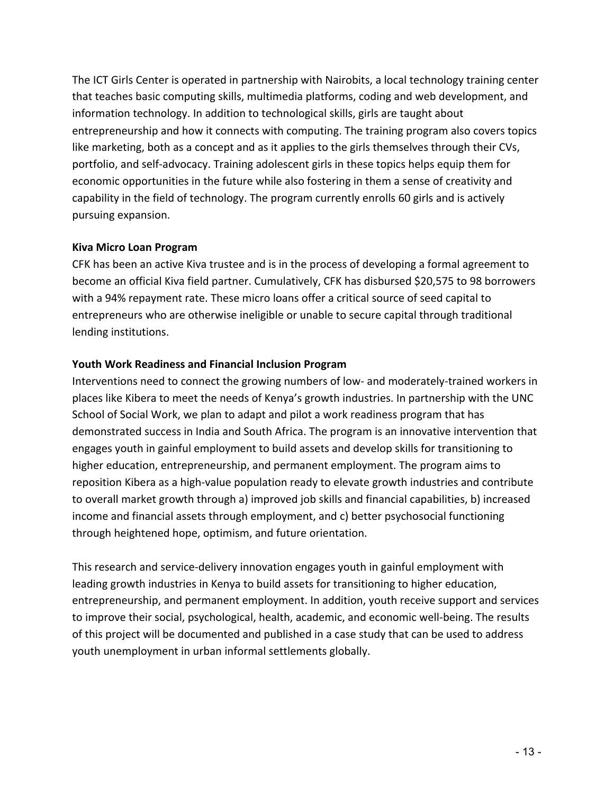The ICT Girls Center is operated in partnership with Nairobits, a local technology training center that teaches basic computing skills, multimedia platforms, coding and web development, and information technology. In addition to technological skills, girls are taught about entrepreneurship and how it connects with computing. The training program also covers topics like marketing, both as a concept and as it applies to the girls themselves through their CVs, portfolio, and self-advocacy. Training adolescent girls in these topics helps equip them for economic opportunities in the future while also fostering in them a sense of creativity and capability in the field of technology. The program currently enrolls 60 girls and is actively pursuing expansion.

#### **Kiva Micro Loan Program**

CFK has been an active Kiva trustee and is in the process of developing a formal agreement to become an official Kiva field partner. Cumulatively, CFK has disbursed \$20,575 to 98 borrowers with a 94% repayment rate. These micro loans offer a critical source of seed capital to entrepreneurs who are otherwise ineligible or unable to secure capital through traditional lending institutions.

#### Youth Work Readiness and Financial Inclusion Program

Interventions need to connect the growing numbers of low- and moderately-trained workers in places like Kibera to meet the needs of Kenya's growth industries. In partnership with the UNC School of Social Work, we plan to adapt and pilot a work readiness program that has demonstrated success in India and South Africa. The program is an innovative intervention that engages youth in gainful employment to build assets and develop skills for transitioning to higher education, entrepreneurship, and permanent employment. The program aims to reposition Kibera as a high-value population ready to elevate growth industries and contribute to overall market growth through a) improved job skills and financial capabilities, b) increased income and financial assets through employment, and c) better psychosocial functioning through heightened hope, optimism, and future orientation.

This research and service-delivery innovation engages youth in gainful employment with leading growth industries in Kenya to build assets for transitioning to higher education, entrepreneurship, and permanent employment. In addition, youth receive support and services to improve their social, psychological, health, academic, and economic well-being. The results of this project will be documented and published in a case study that can be used to address youth unemployment in urban informal settlements globally.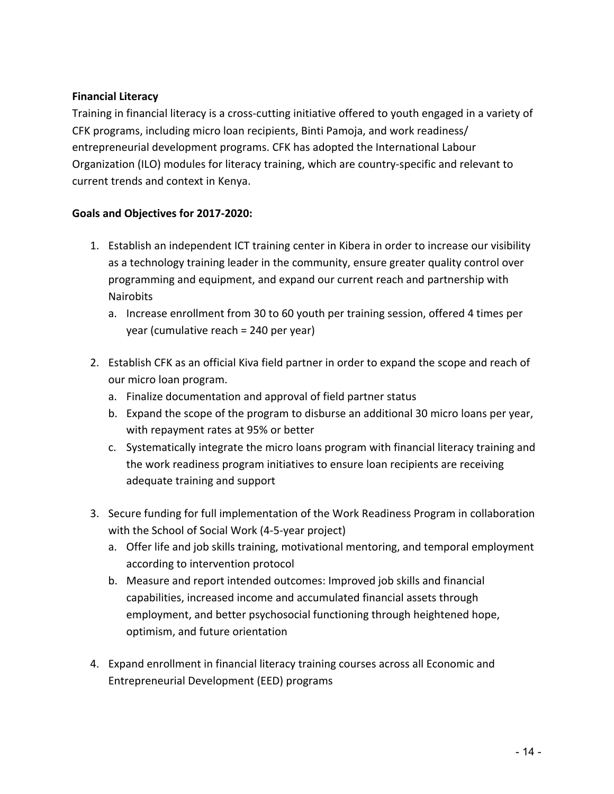## **Financial Literacy**

Training in financial literacy is a cross-cutting initiative offered to youth engaged in a variety of CFK programs, including micro loan recipients, Binti Pamoja, and work readiness/ entrepreneurial development programs. CFK has adopted the International Labour Organization (ILO) modules for literacy training, which are country-specific and relevant to current trends and context in Kenya.

- 1. Establish an independent ICT training center in Kibera in order to increase our visibility as a technology training leader in the community, ensure greater quality control over programming and equipment, and expand our current reach and partnership with **Nairobits** 
	- a. Increase enrollment from 30 to 60 youth per training session, offered 4 times per year (cumulative reach =  $240$  per year)
- 2. Establish CFK as an official Kiva field partner in order to expand the scope and reach of our micro loan program.
	- a. Finalize documentation and approval of field partner status
	- b. Expand the scope of the program to disburse an additional 30 micro loans per year, with repayment rates at 95% or better
	- c. Systematically integrate the micro loans program with financial literacy training and the work readiness program initiatives to ensure loan recipients are receiving adequate training and support
- 3. Secure funding for full implementation of the Work Readiness Program in collaboration with the School of Social Work (4-5-year project)
	- a. Offer life and job skills training, motivational mentoring, and temporal employment according to intervention protocol
	- b. Measure and report intended outcomes: Improved job skills and financial capabilities, increased income and accumulated financial assets through employment, and better psychosocial functioning through heightened hope, optimism, and future orientation
- 4. Expand enrollment in financial literacy training courses across all Economic and Entrepreneurial Development (EED) programs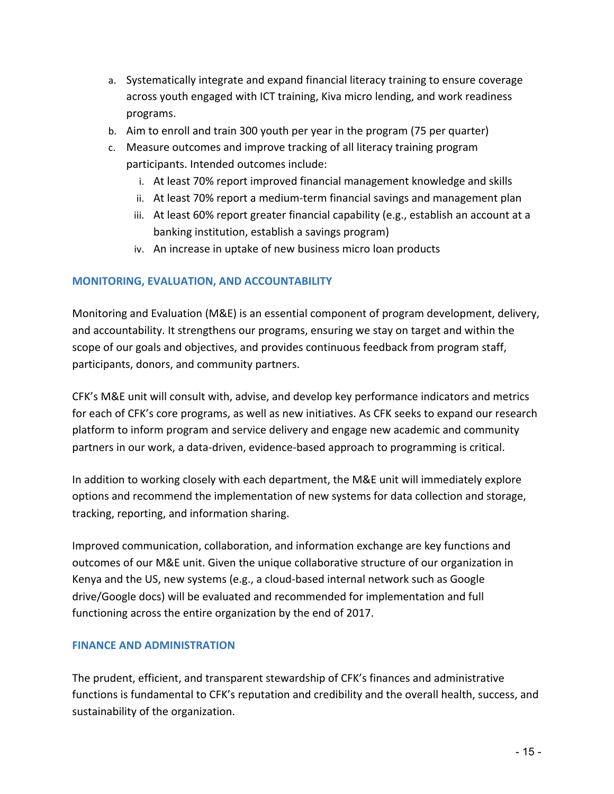- a. Systematically integrate and expand financial literacy training to ensure coverage across youth engaged with ICT training, Kiva micro lending, and work readiness programs.
- b. Aim to enroll and train 300 youth per year in the program (75 per quarter)
- c. Measure outcomes and improve tracking of all literacy training program participants. Intended outcomes include:
	- i. At least 70% report improved financial management knowledge and skills
	- ii. At least 70% report a medium-term financial savings and management plan
	- iii. At least 60% report greater financial capability (e.g., establish an account at a banking institution, establish a savings program)
	- iv. An increase in uptake of new business micro loan products

#### **MONITORING, EVALUATION, AND ACCOUNTABILITY**

Monitoring and Evaluation (M&E) is an essential component of program development, delivery, and accountability. It strengthens our programs, ensuring we stay on target and within the scope of our goals and objectives, and provides continuous feedback from program staff, participants, donors, and community partners.

CFK's M&E unit will consult with, advise, and develop key performance indicators and metrics for each of CFK's core programs, as well as new initiatives. As CFK seeks to expand our research platform to inform program and service delivery and engage new academic and community partners in our work, a data-driven, evidence-based approach to programming is critical.

In addition to working closely with each department, the M&E unit will immediately explore options and recommend the implementation of new systems for data collection and storage, tracking, reporting, and information sharing.

Improved communication, collaboration, and information exchange are key functions and outcomes of our M&E unit. Given the unique collaborative structure of our organization in Kenya and the US, new systems (e.g., a cloud-based internal network such as Google drive/Google docs) will be evaluated and recommended for implementation and full functioning across the entire organization by the end of 2017.

#### **FINANCE AND ADMINISTRATION**

The prudent, efficient, and transparent stewardship of CFK's finances and administrative functions is fundamental to CFK's reputation and credibility and the overall health, success, and sustainability of the organization.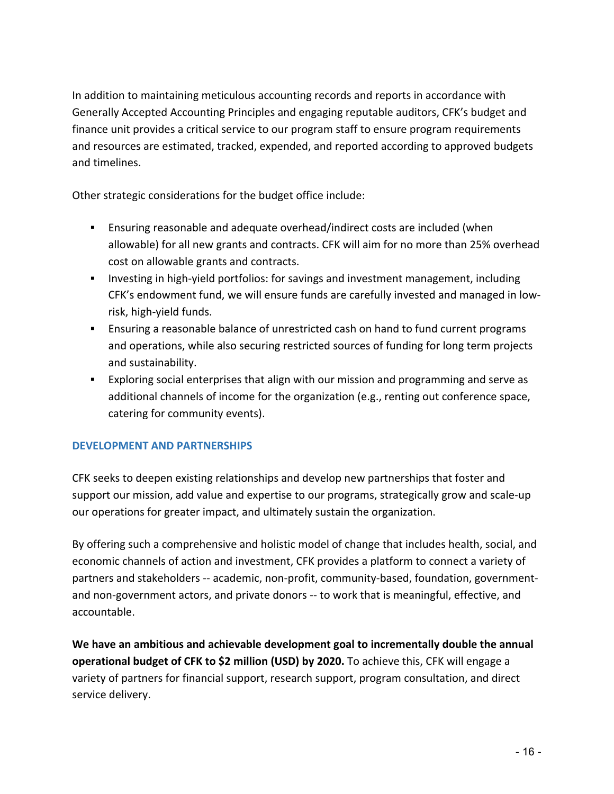In addition to maintaining meticulous accounting records and reports in accordance with Generally Accepted Accounting Principles and engaging reputable auditors, CFK's budget and finance unit provides a critical service to our program staff to ensure program requirements and resources are estimated, tracked, expended, and reported according to approved budgets and timelines.

Other strategic considerations for the budget office include:

- **Ensuring reasonable and adequate overhead/indirect costs are included (when** allowable) for all new grants and contracts. CFK will aim for no more than 25% overhead cost on allowable grants and contracts.
- **Example 1** Investing in high-yield portfolios: for savings and investment management, including CFK's endowment fund, we will ensure funds are carefully invested and managed in lowrisk, high-yield funds.
- **Ensuring a reasonable balance of unrestricted cash on hand to fund current programs** and operations, while also securing restricted sources of funding for long term projects and sustainability.
- **■** Exploring social enterprises that align with our mission and programming and serve as additional channels of income for the organization (e.g., renting out conference space, catering for community events).

# **DEVELOPMENT AND PARTNERSHIPS**

CFK seeks to deepen existing relationships and develop new partnerships that foster and support our mission, add value and expertise to our programs, strategically grow and scale-up our operations for greater impact, and ultimately sustain the organization.

By offering such a comprehensive and holistic model of change that includes health, social, and economic channels of action and investment, CFK provides a platform to connect a variety of partners and stakeholders -- academic, non-profit, community-based, foundation, governmentand non-government actors, and private donors -- to work that is meaningful, effective, and accountable.

We have an ambitious and achievable development goal to incrementally double the annual **operational budget of CFK to \$2 million (USD) by 2020.** To achieve this, CFK will engage a variety of partners for financial support, research support, program consultation, and direct service delivery.